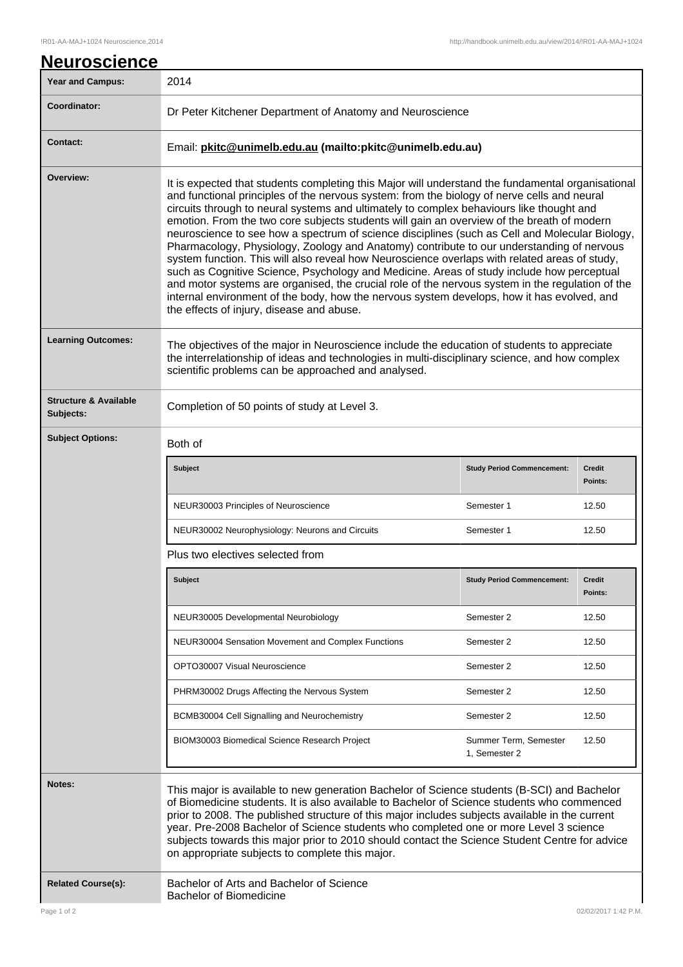| <u>Neuroscience</u>                           |                                                                                                                                                                                                                                                                                                                                                                                                                                                                                                                                                                                                                                                                                                                                                                                                                                                                                                                                                                                                                                        |                                        |                          |
|-----------------------------------------------|----------------------------------------------------------------------------------------------------------------------------------------------------------------------------------------------------------------------------------------------------------------------------------------------------------------------------------------------------------------------------------------------------------------------------------------------------------------------------------------------------------------------------------------------------------------------------------------------------------------------------------------------------------------------------------------------------------------------------------------------------------------------------------------------------------------------------------------------------------------------------------------------------------------------------------------------------------------------------------------------------------------------------------------|----------------------------------------|--------------------------|
| <b>Year and Campus:</b>                       | 2014                                                                                                                                                                                                                                                                                                                                                                                                                                                                                                                                                                                                                                                                                                                                                                                                                                                                                                                                                                                                                                   |                                        |                          |
| Coordinator:                                  | Dr Peter Kitchener Department of Anatomy and Neuroscience                                                                                                                                                                                                                                                                                                                                                                                                                                                                                                                                                                                                                                                                                                                                                                                                                                                                                                                                                                              |                                        |                          |
| <b>Contact:</b>                               | Email: pkitc@unimelb.edu.au (mailto:pkitc@unimelb.edu.au)                                                                                                                                                                                                                                                                                                                                                                                                                                                                                                                                                                                                                                                                                                                                                                                                                                                                                                                                                                              |                                        |                          |
| Overview:                                     | It is expected that students completing this Major will understand the fundamental organisational<br>and functional principles of the nervous system: from the biology of nerve cells and neural<br>circuits through to neural systems and ultimately to complex behaviours like thought and<br>emotion. From the two core subjects students will gain an overview of the breath of modern<br>neuroscience to see how a spectrum of science disciplines (such as Cell and Molecular Biology,<br>Pharmacology, Physiology, Zoology and Anatomy) contribute to our understanding of nervous<br>system function. This will also reveal how Neuroscience overlaps with related areas of study,<br>such as Cognitive Science, Psychology and Medicine. Areas of study include how perceptual<br>and motor systems are organised, the crucial role of the nervous system in the regulation of the<br>internal environment of the body, how the nervous system develops, how it has evolved, and<br>the effects of injury, disease and abuse. |                                        |                          |
| <b>Learning Outcomes:</b>                     | The objectives of the major in Neuroscience include the education of students to appreciate<br>the interrelationship of ideas and technologies in multi-disciplinary science, and how complex<br>scientific problems can be approached and analysed.                                                                                                                                                                                                                                                                                                                                                                                                                                                                                                                                                                                                                                                                                                                                                                                   |                                        |                          |
| <b>Structure &amp; Available</b><br>Subjects: | Completion of 50 points of study at Level 3.                                                                                                                                                                                                                                                                                                                                                                                                                                                                                                                                                                                                                                                                                                                                                                                                                                                                                                                                                                                           |                                        |                          |
| <b>Subject Options:</b>                       | Both of                                                                                                                                                                                                                                                                                                                                                                                                                                                                                                                                                                                                                                                                                                                                                                                                                                                                                                                                                                                                                                |                                        |                          |
|                                               | <b>Subject</b>                                                                                                                                                                                                                                                                                                                                                                                                                                                                                                                                                                                                                                                                                                                                                                                                                                                                                                                                                                                                                         | <b>Study Period Commencement:</b>      | <b>Credit</b><br>Points: |
|                                               | NEUR30003 Principles of Neuroscience                                                                                                                                                                                                                                                                                                                                                                                                                                                                                                                                                                                                                                                                                                                                                                                                                                                                                                                                                                                                   | Semester 1                             | 12.50                    |
|                                               | NEUR30002 Neurophysiology: Neurons and Circuits                                                                                                                                                                                                                                                                                                                                                                                                                                                                                                                                                                                                                                                                                                                                                                                                                                                                                                                                                                                        | Semester 1                             | 12.50                    |
|                                               | Plus two electives selected from                                                                                                                                                                                                                                                                                                                                                                                                                                                                                                                                                                                                                                                                                                                                                                                                                                                                                                                                                                                                       |                                        |                          |
|                                               | Subject                                                                                                                                                                                                                                                                                                                                                                                                                                                                                                                                                                                                                                                                                                                                                                                                                                                                                                                                                                                                                                | <b>Study Period Commencement:</b>      | <b>Credit</b><br>Points: |
|                                               | NEUR30005 Developmental Neurobiology                                                                                                                                                                                                                                                                                                                                                                                                                                                                                                                                                                                                                                                                                                                                                                                                                                                                                                                                                                                                   | Semester 2                             | 12.50                    |
|                                               | NEUR30004 Sensation Movement and Complex Functions                                                                                                                                                                                                                                                                                                                                                                                                                                                                                                                                                                                                                                                                                                                                                                                                                                                                                                                                                                                     | Semester 2                             | 12.50                    |
|                                               | OPTO30007 Visual Neuroscience                                                                                                                                                                                                                                                                                                                                                                                                                                                                                                                                                                                                                                                                                                                                                                                                                                                                                                                                                                                                          | Semester 2                             | 12.50                    |
|                                               | PHRM30002 Drugs Affecting the Nervous System                                                                                                                                                                                                                                                                                                                                                                                                                                                                                                                                                                                                                                                                                                                                                                                                                                                                                                                                                                                           | Semester 2                             | 12.50                    |
|                                               | BCMB30004 Cell Signalling and Neurochemistry                                                                                                                                                                                                                                                                                                                                                                                                                                                                                                                                                                                                                                                                                                                                                                                                                                                                                                                                                                                           | Semester 2                             | 12.50                    |
|                                               | BIOM30003 Biomedical Science Research Project                                                                                                                                                                                                                                                                                                                                                                                                                                                                                                                                                                                                                                                                                                                                                                                                                                                                                                                                                                                          | Summer Term, Semester<br>1, Semester 2 | 12.50                    |
| Notes:                                        | This major is available to new generation Bachelor of Science students (B-SCI) and Bachelor<br>of Biomedicine students. It is also available to Bachelor of Science students who commenced<br>prior to 2008. The published structure of this major includes subjects available in the current<br>year. Pre-2008 Bachelor of Science students who completed one or more Level 3 science<br>subjects towards this major prior to 2010 should contact the Science Student Centre for advice<br>on appropriate subjects to complete this major.                                                                                                                                                                                                                                                                                                                                                                                                                                                                                            |                                        |                          |
| <b>Related Course(s):</b>                     | Bachelor of Arts and Bachelor of Science<br><b>Bachelor of Biomedicine</b>                                                                                                                                                                                                                                                                                                                                                                                                                                                                                                                                                                                                                                                                                                                                                                                                                                                                                                                                                             |                                        |                          |